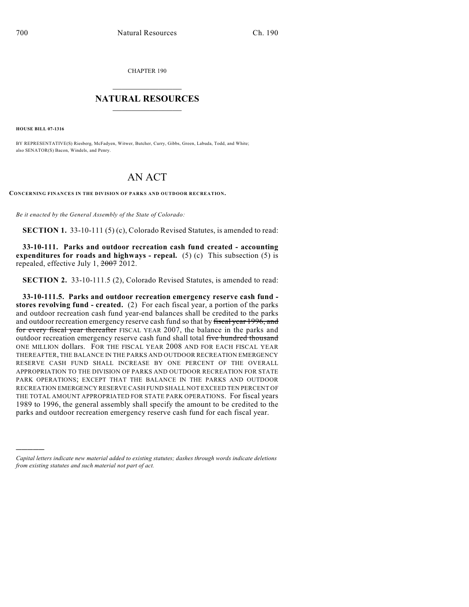CHAPTER 190

## $\overline{\phantom{a}}$  . The set of the set of the set of the set of the set of the set of the set of the set of the set of the set of the set of the set of the set of the set of the set of the set of the set of the set of the set o **NATURAL RESOURCES**  $\frac{1}{\sqrt{2}}$  , where  $\frac{1}{\sqrt{2}}$  ,  $\frac{1}{\sqrt{2}}$  ,  $\frac{1}{\sqrt{2}}$

**HOUSE BILL 07-1316**

)))))

BY REPRESENTATIVE(S) Riesberg, McFadyen, Witwer, Butcher, Curry, Gibbs, Green, Labuda, Todd, and White; also SENATOR(S) Bacon, Windels, and Penry.

## AN ACT

**CONCERNING FINANCES IN THE DIVISION OF PARKS AND OUTDOOR RECREATION.**

*Be it enacted by the General Assembly of the State of Colorado:*

**SECTION 1.** 33-10-111 (5) (c), Colorado Revised Statutes, is amended to read:

**33-10-111. Parks and outdoor recreation cash fund created - accounting expenditures for roads and highways - repeal.** (5) (c) This subsection (5) is repealed, effective July 1, 2007 2012.

**SECTION 2.** 33-10-111.5 (2), Colorado Revised Statutes, is amended to read:

**33-10-111.5. Parks and outdoor recreation emergency reserve cash fund stores revolving fund - created.** (2) For each fiscal year, a portion of the parks and outdoor recreation cash fund year-end balances shall be credited to the parks and outdoor recreation emergency reserve cash fund so that by fiscal year 1996, and for every fiscal year thereafter FISCAL YEAR 2007, the balance in the parks and outdoor recreation emergency reserve cash fund shall total five hundred thousand ONE MILLION dollars. FOR THE FISCAL YEAR 2008 AND FOR EACH FISCAL YEAR THEREAFTER, THE BALANCE IN THE PARKS AND OUTDOOR RECREATION EMERGENCY RESERVE CASH FUND SHALL INCREASE BY ONE PERCENT OF THE OVERALL APPROPRIATION TO THE DIVISION OF PARKS AND OUTDOOR RECREATION FOR STATE PARK OPERATIONS; EXCEPT THAT THE BALANCE IN THE PARKS AND OUTDOOR RECREATION EMERGENCY RESERVE CASH FUND SHALL NOT EXCEED TEN PERCENT OF THE TOTAL AMOUNT APPROPRIATED FOR STATE PARK OPERATIONS. For fiscal years 1989 to 1996, the general assembly shall specify the amount to be credited to the parks and outdoor recreation emergency reserve cash fund for each fiscal year.

*Capital letters indicate new material added to existing statutes; dashes through words indicate deletions from existing statutes and such material not part of act.*